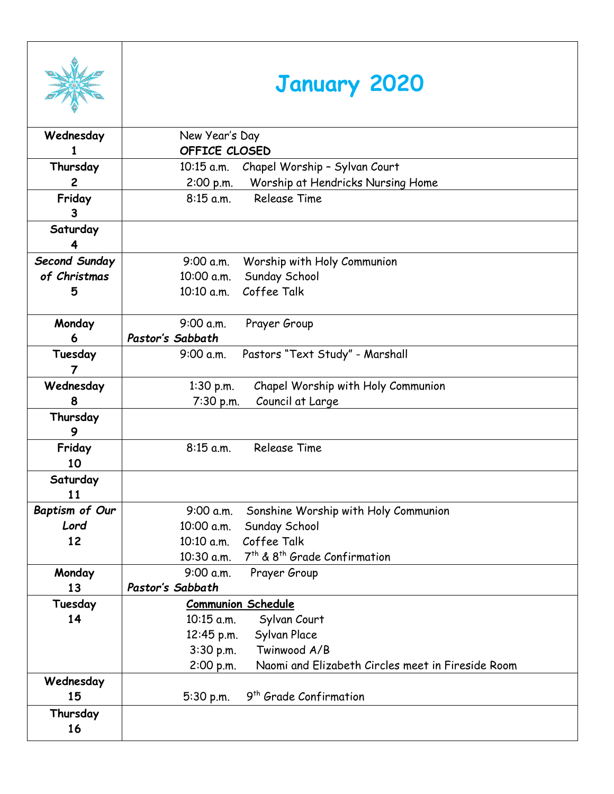|                | <b>January 2020</b>                                                |
|----------------|--------------------------------------------------------------------|
| Wednesday      | New Year's Day                                                     |
|                | OFFICE CLOSED                                                      |
| Thursday       | Chapel Worship - Sylvan Court<br>$10:15$ a.m.                      |
| $\overline{c}$ | Worship at Hendricks Nursing Home<br>2:00 p.m.                     |
| Friday         | <b>Release Time</b><br>$8:15$ a.m.                                 |
| 3              |                                                                    |
| Saturday       |                                                                    |
| 4              |                                                                    |
| Second Sunday  | 9:00 a.m.<br>Worship with Holy Communion                           |
| of Christmas   | Sunday School<br>10:00 a.m.                                        |
| 5              | Coffee Talk<br>10:10 a.m.                                          |
|                |                                                                    |
| Monday         | 9:00 a.m.<br>Prayer Group                                          |
| 6              | Pastor's Sabbath                                                   |
| Tuesday<br>7   | Pastors "Text Study" - Marshall<br>9:00 a.m.                       |
| Wednesday      | Chapel Worship with Holy Communion<br>1:30 p.m.                    |
| 8              | Council at Large<br>7:30 p.m.                                      |
| Thursday       |                                                                    |
| 9              |                                                                    |
| Friday         | <b>Release Time</b><br>$8:15$ a.m.                                 |
| 10             |                                                                    |
| Saturday       |                                                                    |
| 11             |                                                                    |
| Baptism of Our | 9:00 a.m.<br>Sonshine Worship with Holy Communion<br>10:00 a.m.    |
| Lord<br>12     | Sunday School<br>Coffee Talk<br>10:10 a.m.                         |
|                | 7 <sup>th</sup> & 8 <sup>th</sup> Grade Confirmation<br>10:30 a.m. |
| Monday         | 9:00 a.m.<br>Prayer Group                                          |
| 13             | Pastor's Sabbath                                                   |
| Tuesday        | <b>Communion Schedule</b>                                          |
| 14             | 10:15 a.m.<br>Sylvan Court                                         |
|                | Sylvan Place<br>12:45 p.m.                                         |
|                | Twinwood A/B<br>3:30 p.m.                                          |
|                | Naomi and Elizabeth Circles meet in Fireside Room<br>2:00 p.m.     |
| Wednesday      |                                                                    |
| 15             | 9 <sup>th</sup> Grade Confirmation<br>5:30 p.m.                    |
| Thursday<br>16 |                                                                    |

т